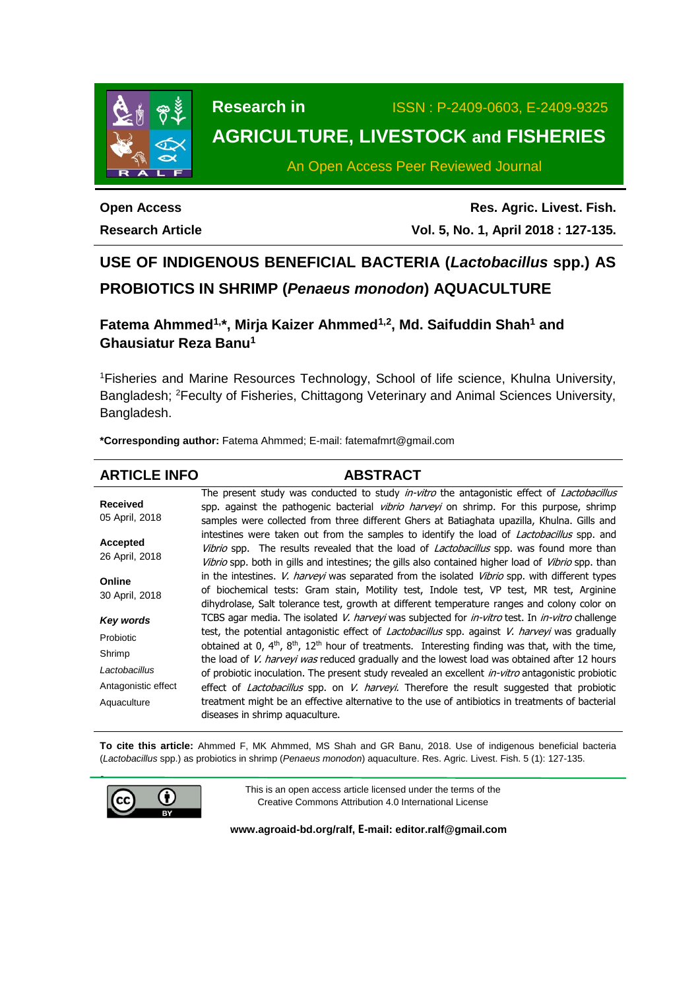

**Research in** ISSN : P-2409-0603, E-2409-9325

# **AGRICULTURE, LIVESTOCK and FISHERIES**

An Open Access Peer Reviewed Journal

## **Open Access Research Article**

**Res. Agric. Livest. Fish. Vol. 5, No. 1, April 2018 : 127-135.**

# **USE OF INDIGENOUS BENEFICIAL BACTERIA (***Lactobacillus* **spp.) AS PROBIOTICS IN SHRIMP (***Penaeus monodon***) AQUACULTURE**

**Fatema Ahmmed1, \*, Mirja Kaizer Ahmmed1,2 , [Md. Saifuddin Shah](http://ku.ac.bd/faculty/dr-md-saifuddin-shah/)<sup>1</sup> and [Ghausiatur Reza Banu](https://ku.ac.bd/faculty/dr-ghausiatur-reza-banu/)<sup>1</sup>**

<sup>1</sup>Fisheries and Marine Resources Technology, School of life science, Khulna University, Bangladesh; <sup>2</sup>Feculty of Fisheries, Chittagong Veterinary and Animal Sciences University, Bangladesh.

**\*Corresponding author:** Fatema Ahmmed; E-mail[: fatemafmrt@gmail.com](mailto:fatemafmrt@gmail.com)

### **ARTICLE INFO ABSTRACT**

**Received** 05 April, 2018 **Accepted** 26 April, 2018 **Online** 30 April, 2018 *Key words* Probiotic Shrimp *Lactobacillus* Antagonistic effect **Aquaculture** The present study was conducted to study *in-vitro* the antagonistic effect of Lactobacillus spp. against the pathogenic bacterial vibrio harveyi on shrimp. For this purpose, shrimp samples were collected from three different Ghers at Batiaghata upazilla, Khulna. Gills and intestines were taken out from the samples to identify the load of *Lactobacillus* spp. and Vibrio spp. The results revealed that the load of *Lactobacillus* spp. was found more than Vibrio spp. both in gills and intestines; the gills also contained higher load of Vibrio spp. than in the intestines. *V. harveyi* was separated from the isolated *Vibrio* spp. with different types of biochemical tests: Gram stain, Motility test, Indole test, VP test, MR test, Arginine dihydrolase, Salt tolerance test, growth at different temperature ranges and colony color on TCBS agar media. The isolated V. harveyi was subjected for in-vitro test. In in-vitro challenge test, the potential antagonistic effect of *Lactobacillus* spp. against V. harveyi was gradually obtained at 0,  $4<sup>th</sup>$ ,  $8<sup>th</sup>$ ,  $12<sup>th</sup>$  hour of treatments. Interesting finding was that, with the time, the load of V. harveyi was reduced gradually and the lowest load was obtained after 12 hours of probiotic inoculation. The present study revealed an excellent in-vitro antagonistic probiotic effect of Lactobacillus spp. on V. harveyi. Therefore the result suggested that probiotic treatment might be an effective alternative to the use of antibiotics in treatments of bacterial diseases in shrimp aquaculture.

**To cite this article:** Ahmmed F, MK Ahmmed, [MS Shah](http://ku.ac.bd/faculty/dr-md-saifuddin-shah/) and [GR Banu,](https://ku.ac.bd/faculty/dr-ghausiatur-reza-banu/) 2018. Use of indigenous beneficial bacteria (*Lactobacillus* spp.) as probiotics in shrimp (*Penaeus monodon*) aquaculture. Res. Agric. Livest. Fish. 5 (1): 127-135.



This is an open access article licensed under the terms of the Creative Commons Attribution 4.0 International License

**[www.agroaid-bd.org/ralf,](http://www.agroaid-bd.org/ralf) E-mail: [editor.ralf@gmail.com](mailto:editor.ralf@gmail.com)**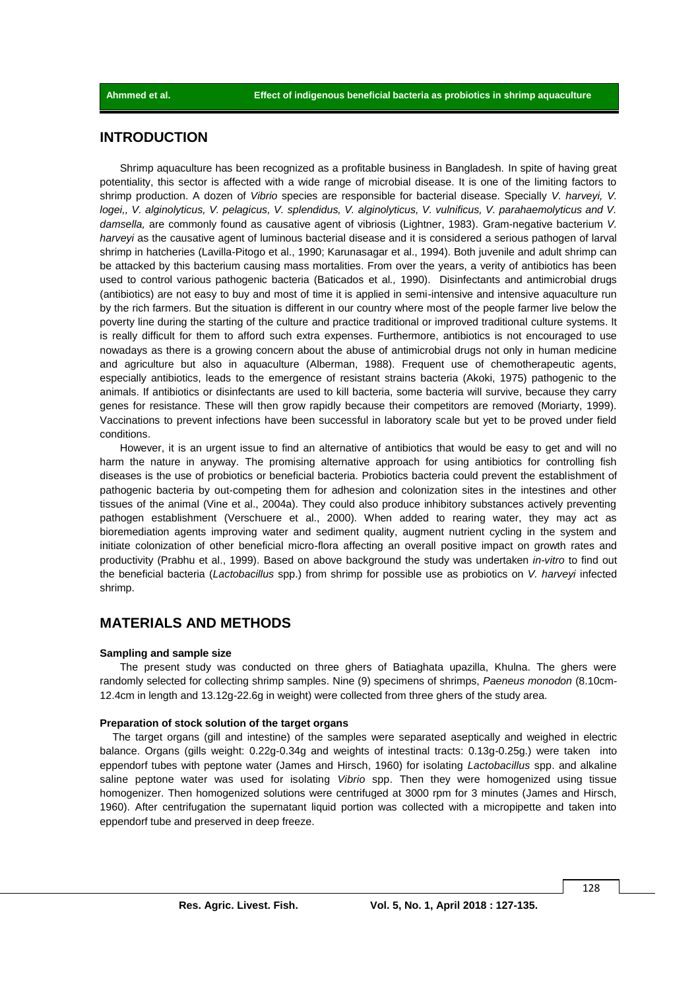### **INTRODUCTION**

Shrimp aquaculture has been recognized as a profitable business in Bangladesh. In spite of having great potentiality, this sector is affected with a wide range of microbial disease. It is one of the limiting factors to shrimp production. A dozen of *Vibrio* species are responsible for bacterial disease. Specially *V. harveyi, V. logei,, V. alginolyticus, V. pelagicus, V. splendidus, V. alginolyticus, V. vulnificus, V. parahaemolyticus and V. damsella,* are commonly found as causative agent of vibriosis (Lightner, 1983). Gram-negative bacterium *V. harveyi* as the causative agent of luminous bacterial disease and it is considered a serious pathogen of larval shrimp in hatcheries (Lavilla-Pitogo et al., 1990; Karunasagar et al., 1994). Both juvenile and adult shrimp can be attacked by this bacterium causing mass mortalities. From over the years, a verity of antibiotics has been used to control various pathogenic bacteria (Baticados et al*.,* 1990). Disinfectants and antimicrobial drugs (antibiotics) are not easy to buy and most of time it is applied in semi-intensive and intensive aquaculture run by the rich farmers. But the situation is different in our country where most of the people farmer live below the poverty line during the starting of the culture and practice traditional or improved traditional culture systems. It is really difficult for them to afford such extra expenses. Furthermore, antibiotics is not encouraged to use nowadays as there is a growing concern about the abuse of antimicrobial drugs not only in human medicine and agriculture but also in aquaculture (Alberman, 1988). Frequent use of chemotherapeutic agents, especially antibiotics, leads to the emergence of resistant strains bacteria (Akoki, 1975) pathogenic to the animals. If antibiotics or disinfectants are used to kill bacteria, some bacteria will survive, because they carry genes for resistance. These will then grow rapidly because their competitors are removed (Moriarty, 1999). Vaccinations to prevent infections have been successful in laboratory scale but yet to be proved under field conditions.

However, it is an urgent issue to find an alternative of antibiotics that would be easy to get and will no harm the nature in anyway. The promising alternative approach for using antibiotics for controlling fish diseases is the use of probiotics or beneficial bacteria. Probiotics bacteria could prevent the establishment of pathogenic bacteria by out-competing them for adhesion and colonization sites in the intestines and other tissues of the animal (Vine et al., 2004a). They could also produce inhibitory substances actively preventing pathogen establishment (Verschuere et al., 2000). When added to rearing water, they may act as bioremediation agents improving water and sediment quality, augment nutrient cycling in the system and initiate colonization of other beneficial micro-flora affecting an overall positive impact on growth rates and productivity (Prabhu et al., 1999). Based on above background the study was undertaken *in-vitro* to find out the beneficial bacteria (*Lactobacillus* spp.) from shrimp for possible use as probiotics on *V. harveyi* infected shrimp.

### **MATERIALS AND METHODS**

#### **Sampling and sample size**

The present study was conducted on three ghers of Batiaghata upazilla, Khulna. The ghers were randomly selected for collecting shrimp samples. Nine (9) specimens of shrimps, *Paeneus monodon* (8.10cm-12.4cm in length and 13.12g-22.6g in weight) were collected from three ghers of the study area.

#### **Preparation of stock solution of the target organs**

The target organs (gill and intestine) of the samples were separated aseptically and weighed in electric balance. Organs (gills weight: 0.22g-0.34g and weights of intestinal tracts: 0.13g-0.25g.) were taken into eppendorf tubes with peptone water (James and Hirsch, 1960) for isolating *Lactobacillus* spp. and alkaline saline peptone water was used for isolating *Vibrio* spp. Then they were homogenized using tissue homogenizer. Then homogenized solutions were centrifuged at 3000 rpm for 3 minutes (James and Hirsch, 1960). After centrifugation the supernatant liquid portion was collected with a micropipette and taken into eppendorf tube and preserved in deep freeze.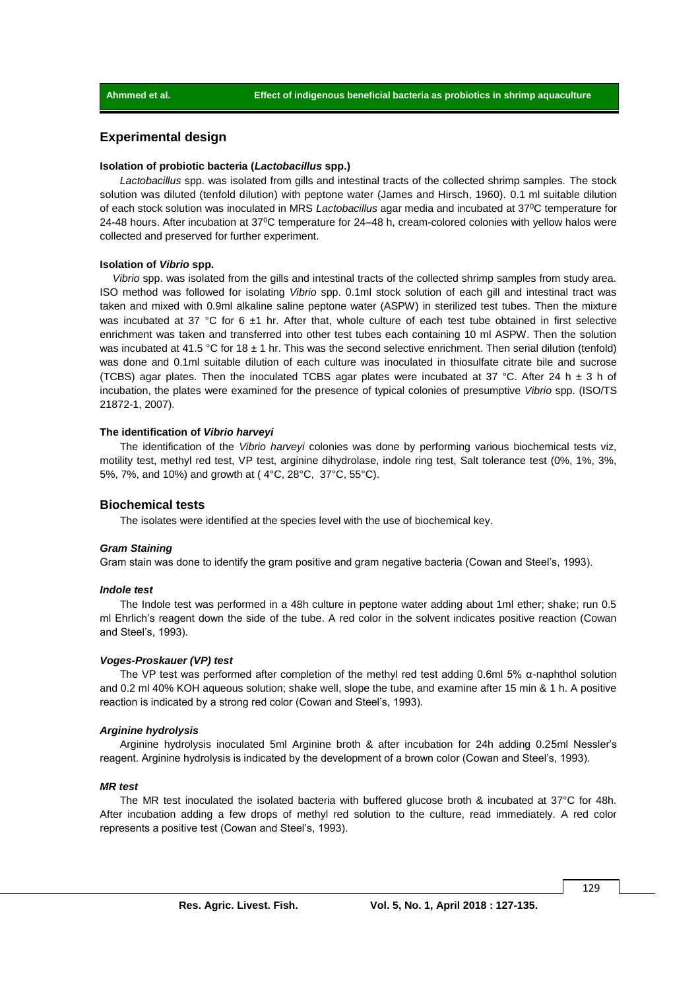#### **Experimental design**

#### **Isolation of probiotic bacteria (***Lactobacillus* **spp.)**

*Lactobacillus* spp. was isolated from gills and intestinal tracts of the collected shrimp samples. The stock solution was diluted (tenfold dilution) with peptone water (James and Hirsch, 1960). 0.1 ml suitable dilution of each stock solution was inoculated in MRS *Lactobacillus* agar media and incubated at 37<sup>0</sup>C temperature for 24-48 hours. After incubation at 37<sup>0</sup>C temperature for 24–48 h, cream-colored colonies with yellow halos were collected and preserved for further experiment.

#### **Isolation of** *Vibrio* **spp.**

*Vibrio* spp. was isolated from the gills and intestinal tracts of the collected shrimp samples from study area. ISO method was followed for isolating *Vibrio* spp. 0.1ml stock solution of each gill and intestinal tract was taken and mixed with 0.9ml alkaline saline peptone water (ASPW) in sterilized test tubes. Then the mixture was incubated at 37 °C for 6 ±1 hr. After that, whole culture of each test tube obtained in first selective enrichment was taken and transferred into other test tubes each containing 10 ml ASPW. Then the solution was incubated at 41.5 °C for 18  $\pm$  1 hr. This was the second selective enrichment. Then serial dilution (tenfold) was done and 0.1ml suitable dilution of each culture was inoculated in thiosulfate citrate bile and sucrose (TCBS) agar plates. Then the inoculated TCBS agar plates were incubated at 37 °C. After 24 h  $\pm$  3 h of incubation, the plates were examined for the presence of typical colonies of presumptive *Vibrio* spp. (ISO/TS 21872-1, 2007).

#### **The identification of** *Vibrio harveyi*

The identification of the *Vibrio harveyi* colonies was done by performing various biochemical tests viz, motility test, methyl red test, VP test, arginine dihydrolase, indole ring test, Salt tolerance test (0%, 1%, 3%, 5%, 7%, and 10%) and growth at ( 4°C, 28°C, 37°C, 55°C).

#### **Biochemical tests**

The isolates were identified at the species level with the use of biochemical key.

#### *Gram Staining*

Gram stain was done to identify the gram positive and gram negative bacteria (Cowan and Steel's, 1993).

#### *Indole test*

The Indole test was performed in a 48h culture in peptone water adding about 1ml ether; shake; run 0.5 ml Ehrlich's reagent down the side of the tube. A red color in the solvent indicates positive reaction (Cowan and Steel's, 1993).

#### *Voges-Proskauer (VP) test*

The VP test was performed after completion of the methyl red test adding 0.6ml 5% α-naphthol solution and 0.2 ml 40% KOH aqueous solution; shake well, slope the tube, and examine after 15 min & 1 h. A positive reaction is indicated by a strong red color (Cowan and Steel's, 1993).

#### *Arginine hydrolysis*

Arginine hydrolysis inoculated 5ml Arginine broth & after incubation for 24h adding 0.25ml Nessler's reagent. Arginine hydrolysis is indicated by the development of a brown color (Cowan and Steel's, 1993).

#### *MR test*

The MR test inoculated the isolated bacteria with buffered glucose broth & incubated at 37°C for 48h. After incubation adding a few drops of methyl red solution to the culture, read immediately. A red color represents a positive test (Cowan and Steel's, 1993).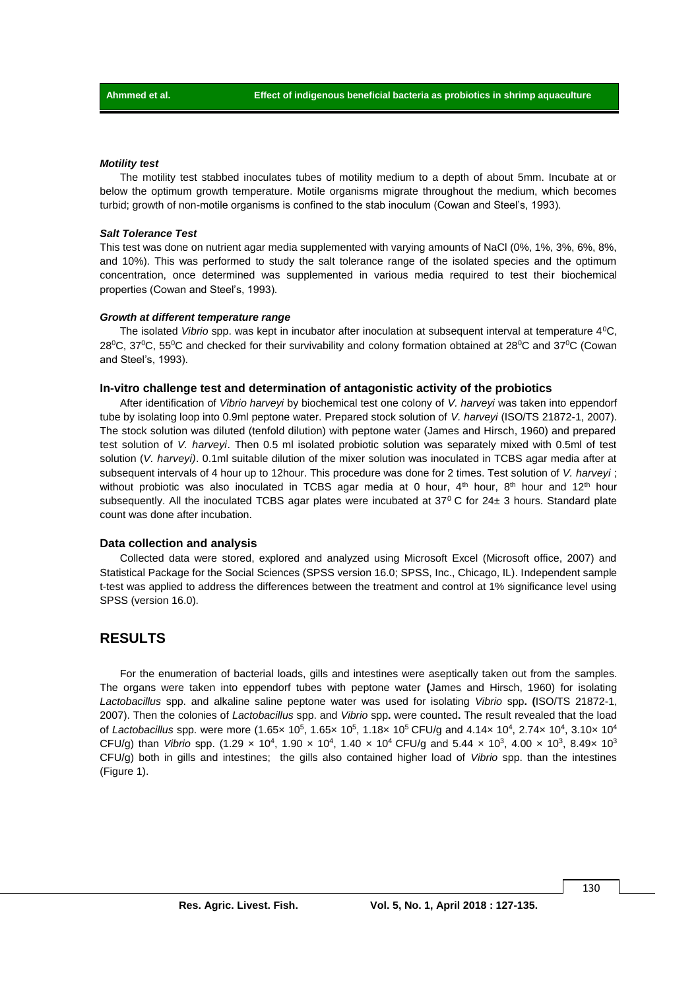#### *Motility test*

The motility test stabbed inoculates tubes of motility medium to a depth of about 5mm. Incubate at or below the optimum growth temperature. Motile organisms migrate throughout the medium, which becomes turbid; growth of non-motile organisms is confined to the stab inoculum (Cowan and Steel's, 1993).

#### *Salt Tolerance Test*

This test was done on nutrient agar media supplemented with varying amounts of NaCl (0%, 1%, 3%, 6%, 8%, and 10%). This was performed to study the salt tolerance range of the isolated species and the optimum concentration, once determined was supplemented in various media required to test their biochemical properties (Cowan and Steel's, 1993).

#### *Growth at different temperature range*

The isolated *Vibrio* spp. was kept in incubator after inoculation at subsequent interval at temperature 4<sup>0</sup>C, 28<sup>0</sup>C, 37<sup>0</sup>C, 55<sup>0</sup>C and checked for their survivability and colony formation obtained at 28<sup>0</sup>C and 37<sup>0</sup>C (Cowan and Steel's, 1993).

#### **In-vitro challenge test and determination of antagonistic activity of the probiotics**

After identification of *Vibrio harveyi* by biochemical test one colony of *V. harveyi* was taken into eppendorf tube by isolating loop into 0.9ml peptone water. Prepared stock solution of *V. harveyi* (ISO/TS 21872-1, 2007). The stock solution was diluted (tenfold dilution) with peptone water (James and Hirsch, 1960) and prepared test solution of *V. harveyi*. Then 0.5 ml isolated probiotic solution was separately mixed with 0.5ml of test solution (*V. harveyi)*. 0.1ml suitable dilution of the mixer solution was inoculated in TCBS agar media after at subsequent intervals of 4 hour up to 12hour. This procedure was done for 2 times. Test solution of *V. harveyi* ; without probiotic was also inoculated in TCBS agar media at 0 hour,  $4<sup>th</sup>$  hour,  $8<sup>th</sup>$  hour and 12<sup>th</sup> hour subsequently. All the inoculated TCBS agar plates were incubated at  $37^{\circ}$  C for 24 $\pm$  3 hours. Standard plate count was done after incubation.

#### **Data collection and analysis**

Collected data were stored, explored and analyzed using Microsoft Excel (Microsoft office, 2007) and Statistical Package for the Social Sciences (SPSS version 16.0; SPSS, Inc., Chicago, IL). Independent sample t-test was applied to address the differences between the treatment and control at 1% significance level using SPSS (version 16.0).

### **RESULTS**

For the enumeration of bacterial loads, gills and intestines were aseptically taken out from the samples. The organs were taken into eppendorf tubes with peptone water **(**James and Hirsch, 1960) for isolating *Lactobacillus* spp. and alkaline saline peptone water was used for isolating *Vibrio* spp**. (**ISO/TS 21872-1, 2007). Then the colonies of *Lactobacillus* spp. and *Vibrio* spp**.** were counted**.** The result revealed that the load of Lactobacillus spp. were more (1.65x 10<sup>5</sup>, 1.65x 10<sup>5</sup>, 1.18x 10<sup>5</sup> CFU/g and 4.14x 10<sup>4</sup>, 2.74x 10<sup>4</sup>, 3.10x 10<sup>4</sup> CFU/g) than *Vibrio* spp. (1.29  $\times$  10<sup>4</sup>, 1.90  $\times$  10<sup>4</sup>, 1.40  $\times$  10<sup>4</sup> CFU/g and 5.44  $\times$  10<sup>3</sup>, 4.00  $\times$  10<sup>3</sup>, 8.49 $\times$  10<sup>3</sup> CFU/g) both in gills and intestines; the gills also contained higher load of *Vibrio* spp. than the intestines (Figure 1).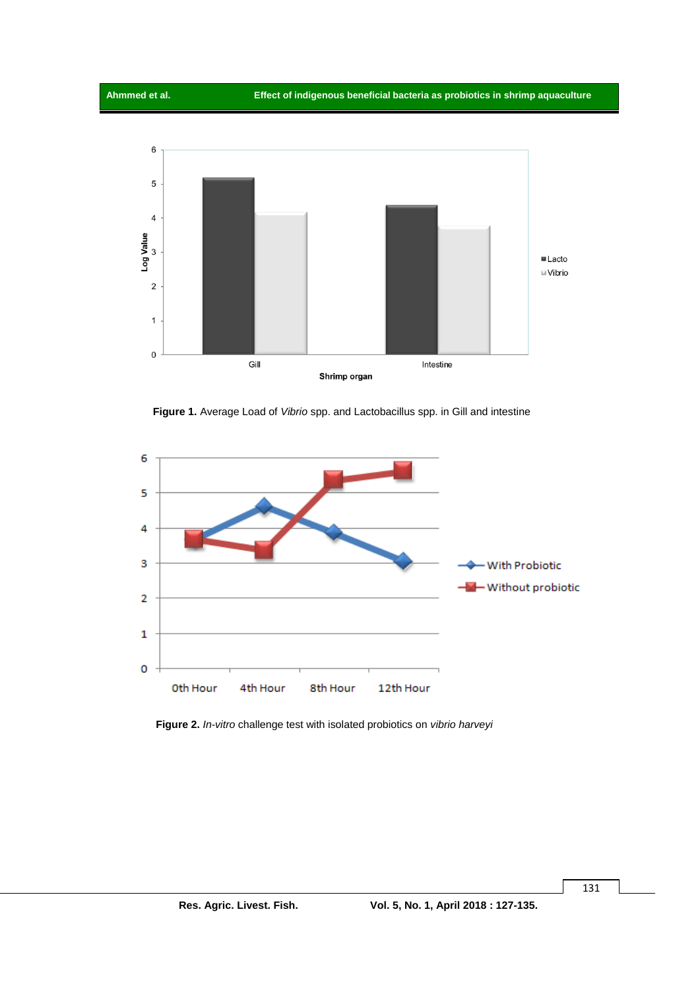

 **Figure 1.** Average Load of *Vibrio* spp. and Lactobacillus spp. in Gill and intestine



 **Figure 2.** *In-vitro* challenge test with isolated probiotics on *vibrio harveyi*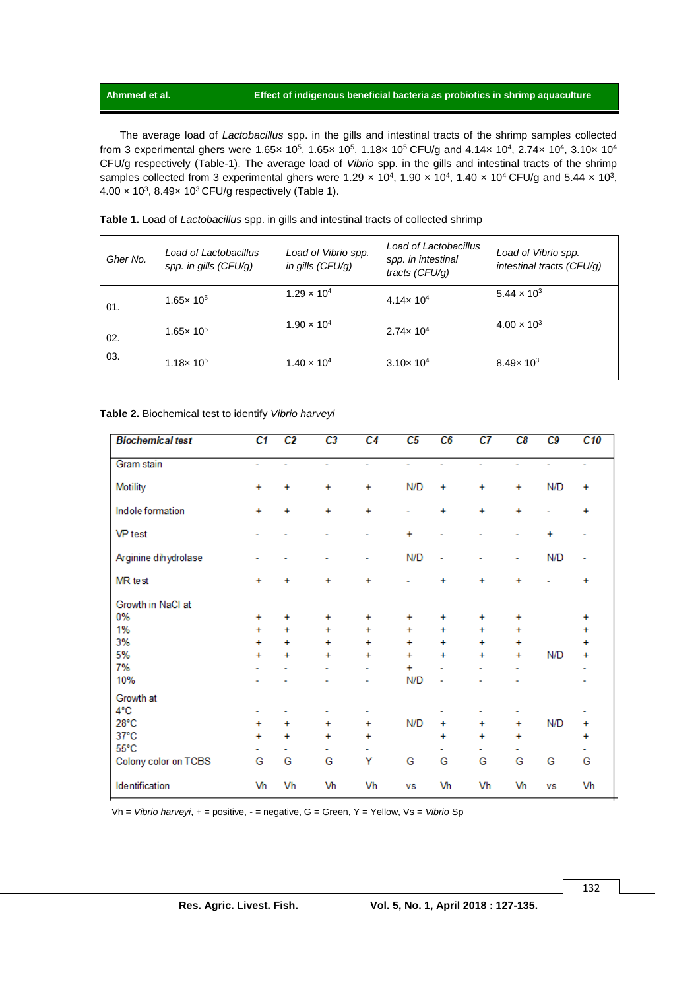The average load of *Lactobacillus* spp. in the gills and intestinal tracts of the shrimp samples collected from 3 experimental ghers were 1.65x 10<sup>5</sup>, 1.65x 10<sup>5</sup>, 1.18x 10<sup>5</sup> CFU/g and 4.14x 10<sup>4</sup>, 2.74x 10<sup>4</sup>, 3.10x 10<sup>4</sup> CFU/g respectively (Table-1). The average load of *Vibrio* spp. in the gills and intestinal tracts of the shrimp samples collected from 3 experimental ghers were 1.29  $\times$  10<sup>4</sup>, 1.90  $\times$  10<sup>4</sup>, 1.40  $\times$  10<sup>4</sup> CFU/g and 5.44  $\times$  10<sup>3</sup>,  $4.00 \times 10^3$ ,  $8.49 \times 10^3$  CFU/g respectively (Table 1).

| Gher No.   | Load of Lactobacillus<br>spp. in gills (CFU/g) | Load of Vibrio spp.<br>in gills (CFU/g) | Load of Lactobacillus<br>spp. in intestinal<br>tracts (CFU/g) | Load of Vibrio spp.<br>intestinal tracts (CFU/q) |
|------------|------------------------------------------------|-----------------------------------------|---------------------------------------------------------------|--------------------------------------------------|
| 01.        | 1.65 $\times$ 10 <sup>5</sup>                  | $1.29 \times 10^{4}$                    | 4.14 $\times$ 10 <sup>4</sup>                                 | $5.44 \times 10^{3}$                             |
| 02.<br>03. | 1.65 $\times$ 10 <sup>5</sup>                  | $1.90 \times 10^{4}$                    | $2.74 \times 10^{4}$                                          | $4.00 \times 10^{3}$                             |
|            | 1.18 $\times$ 10 <sup>5</sup>                  | $1.40 \times 10^{4}$                    | $3.10 \times 10^{4}$                                          | $8.49 \times 10^{3}$                             |

**Table 1.** Load of *Lactobacillus* spp. in gills and intestinal tracts of collected shrimp

#### **Table 2.** Biochemical test to identify *Vibrio harveyi*

| <b>Biochemical test</b> | C <sub>1</sub> | C <sub>2</sub> | $\overline{C}3$ | $\overline{C4}$ | C5        | C6        | $\overline{c}$ | C8                    | C9  | C10       |
|-------------------------|----------------|----------------|-----------------|-----------------|-----------|-----------|----------------|-----------------------|-----|-----------|
| Gram stain              | ÷.             | ٠              | ÷,              | ÷.              | ÷.        | ÷,        | ÷.             | $\tilde{\phantom{a}}$ | ÷.  | ÷         |
| Motility                | $\ddot{}$      | ÷              | $\ddot{}$       | $\ddot{}$       | N/D       | $\ddot{}$ | ÷              | $\ddot{}$             | N/D | $\ddot{}$ |
| Indole formation        | $\ddot{}$      | ÷              | ÷               | ÷               |           | ÷         | ÷              | $\ddot{}$             |     | $\ddot{}$ |
| <b>VP</b> test          |                |                |                 |                 | ÷         |           |                |                       | ÷   |           |
| Arginine dihydrolase    |                |                |                 |                 | N/D       | ۰         |                | ÷                     | N/D |           |
| MR test                 | $\ddot{}$      | ÷              | $\ddot{}$       | ÷               |           | $\ddot{}$ | $\ddot{}$      | $\ddot{}$             |     | $\ddot{}$ |
| Growth in NaCl at       |                |                |                 |                 |           |           |                |                       |     |           |
| 0%                      | $\ddot{}$      | ÷              | ÷               | ÷               | ÷         | $\ddot{}$ | ÷              | $\ddot{}$             |     | $\ddot{}$ |
| 1%                      | $\ddot{}$      | $\ddot{}$      | $\ddot{}$       | $\ddot{}$       | $\ddot{}$ | $+$       | $+$            | ÷                     |     | ÷         |
| 3%                      | $\ddot{}$      | $\ddot{}$      | $\ddot{}$       | ÷               | $\ddot{}$ | $\ddot{}$ | $\ddot{}$      | ÷                     |     | +         |
| 5%                      | $\ddot{}$      | +              | ÷               | ÷               | ÷         | ÷         | ÷              | $\ddot{}$             | N/D | +         |
| 7%                      |                |                |                 |                 | ÷         |           |                |                       |     |           |
| 10%                     |                |                |                 |                 | N/D       | ÷         |                |                       |     |           |
| Growth at               |                |                |                 |                 |           |           |                |                       |     |           |
| 4°C                     |                |                |                 |                 |           |           |                |                       |     |           |
| 28°C                    | $\ddot{}$      | +              | +               | ÷               | N/D       | ÷         | ÷              | $\ddot{}$             | N/D | $\ddot{}$ |
| 37°C                    | $\ddot{}$      | ÷              | $\ddot{}$       | ÷               |           | ÷         | $\ddot{}$      | $\ddot{}$             |     | $\ddot{}$ |
| 55°C                    | ٠              | ۰              | ۰               | ٠               |           | ٠         | ٠              | ۰                     |     | ۰         |
| Colony color on TCBS    | G              | G              | G               | Υ               | G         | G         | G              | G                     | G   | G         |
| Identification          | Vh             | Vh             | Vh              | Vh              | vs        | Vh        | Vh             | Vh                    | VS  | Vh        |

Vh = *Vibrio harveyi*, + = positive, - = negative, G = Green, Y = Yellow, Vs = *Vibrio* Sp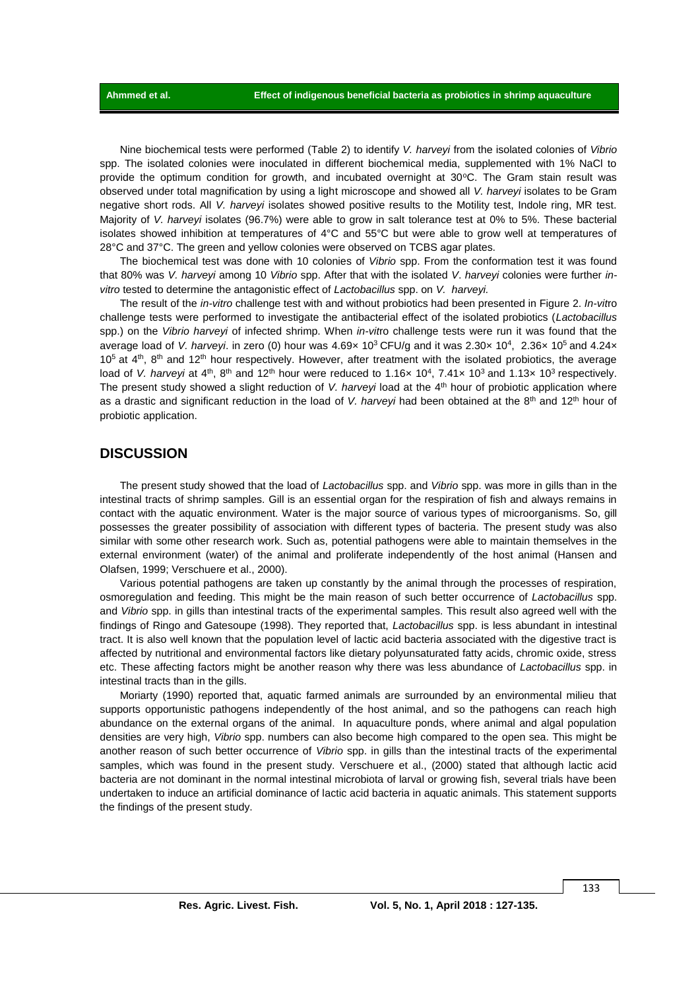Nine biochemical tests were performed (Table 2) to identify *V. harveyi* from the isolated colonies of *Vibrio* spp. The isolated colonies were inoculated in different biochemical media, supplemented with 1% NaCl to provide the optimum condition for growth, and incubated overnight at  $30^{\circ}$ C. The Gram stain result was observed under total magnification by using a light microscope and showed all *V. harveyi* isolates to be Gram negative short rods. All *V. harveyi* isolates showed positive results to the Motility test, Indole ring, MR test. Majority of *V. harveyi* isolates (96.7%) were able to grow in salt tolerance test at 0% to 5%. These bacterial isolates showed inhibition at temperatures of 4°C and 55°C but were able to grow well at temperatures of 28°C and 37°C. The green and yellow colonies were observed on TCBS agar plates.

The biochemical test was done with 10 colonies of *Vibrio* spp. From the conformation test it was found that 80% was *V. harveyi* among 10 *Vibrio* spp. After that with the isolated *V*. *harveyi* colonies were further *invitro* tested to determine the antagonistic effect of *Lactobacillus* spp. on *V. harveyi.*

The result of the *in-vitro* challenge test with and without probiotics had been presented in Figure 2. *In-vit*ro challenge tests were performed to investigate the antibacterial effect of the isolated probiotics (*Lactobacillus* spp.) on the *Vibrio harveyi* of infected shrimp. When *in-vit*ro challenge tests were run it was found that the average load of *V. harveyi*. in zero (0) hour was 4.69x 10<sup>3</sup> CFU/g and it was 2.30x 10<sup>4</sup>, 2.36x 10<sup>5</sup> and 4.24x  $10^5$  at  $4^{\text{th}}$ ,  $8^{\text{th}}$  and  $12^{\text{th}}$  hour respectively. However, after treatment with the isolated probiotics, the average load of *V. harveyi* at 4<sup>th</sup>, 8<sup>th</sup> and 12<sup>th</sup> hour were reduced to 1.16× 10<sup>4</sup>, 7.41× 10<sup>3</sup> and 1.13× 10<sup>3</sup> respectively. The present study showed a slight reduction of *V. harveyi* load at the 4th hour of probiotic application where as a drastic and significant reduction in the load of *V. harveyi* had been obtained at the 8<sup>th</sup> and 12<sup>th</sup> hour of probiotic application.

### **DISCUSSION**

The present study showed that the load of *Lactobacillus* spp. and *Vibrio* spp. was more in gills than in the intestinal tracts of shrimp samples. Gill is an essential organ for the respiration of fish and always remains in contact with the aquatic environment. Water is the major source of various types of microorganisms. So, gill possesses the greater possibility of association with different types of bacteria. The present study was also similar with some other research work. Such as, potential pathogens were able to maintain themselves in the external environment (water) of the animal and proliferate independently of the host animal (Hansen and Olafsen, 1999; Verschuere et al., 2000).

Various potential pathogens are taken up constantly by the animal through the processes of respiration, osmoregulation and feeding. This might be the main reason of such better occurrence of *Lactobacillus* spp. and *Vibrio* spp. in gills than intestinal tracts of the experimental samples. This result also agreed well with the findings of Ringo and Gatesoupe (1998). They reported that, *Lactobacillus* spp. is less abundant in intestinal tract. It is also well known that the population level of lactic acid bacteria associated with the digestive tract is affected by nutritional and environmental factors like dietary polyunsaturated fatty acids, chromic oxide, stress etc. These affecting factors might be another reason why there was less abundance of *Lactobacillus* spp. in intestinal tracts than in the gills.

Moriarty (1990) reported that, aquatic farmed animals are surrounded by an environmental milieu that supports opportunistic pathogens independently of the host animal, and so the pathogens can reach high abundance on the external organs of the animal. In aquaculture ponds, where animal and algal population densities are very high, *Vibrio* spp. numbers can also become high compared to the open sea. This might be another reason of such better occurrence of *Vibrio* spp. in gills than the intestinal tracts of the experimental samples, which was found in the present study. [Verschuere et al.,](http://www3.interscience.wiley.com/cgi-bin/fulltext/118583339/main.html,ftx_abs#b45) (2000) stated that although lactic acid bacteria are not dominant in the normal intestinal microbiota of larval or growing fish, several trials have been undertaken to induce an artificial dominance of lactic acid bacteria in aquatic animals. This statement supports the findings of the present study.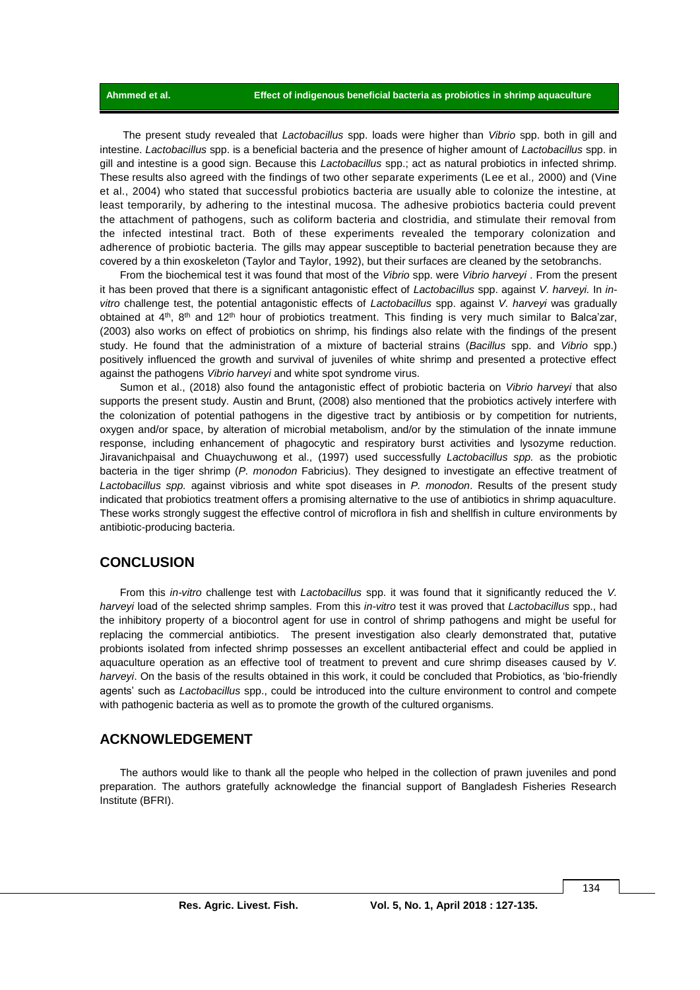The present study revealed that *Lactobacillus* spp. loads were higher than *Vibrio* spp. both in gill and intestine. *Lactobacillus* spp. is a beneficial bacteria and the presence of higher amount of *Lactobacillus* spp. in gill and intestine is a good sign. Because this *Lactobacillus* spp.; act as natural probiotics in infected shrimp. These results also agreed with the findings of two other separate experiments (Lee et al*.,* 2000) and (Vine et al., 2004) who stated that successful probiotics bacteria are usually able to colonize the intestine, at least temporarily, by adhering to the intestinal mucosa. The adhesive probiotics bacteria could prevent the attachment of pathogens, such as coliform bacteria and clostridia, and stimulate their removal from the infected intestinal tract. Both of these experiments revealed the temporary colonization and adherence of probiotic bacteria. The gills may appear susceptible to bacterial penetration because they are covered by a thin exoskeleton (Taylor and Taylor, 1992), but their surfaces are cleaned by the setobranchs.

From the biochemical test it was found that most of the *Vibrio* spp. were *Vibrio harveyi* . From the present it has been proved that there is a significant antagonistic effect of *Lactobacillus* spp. against *V. harveyi.* In *invitro* challenge test, the potential antagonistic effects of *Lactobacillus* spp. against *V. harveyi* was gradually obtained at 4<sup>th</sup>, 8<sup>th</sup> and 12<sup>th</sup> hour of probiotics treatment. This finding is very much similar to Balca'zar, (2003) also works on effect of probiotics on shrimp, his findings also relate with the findings of the present study. He found that the administration of a mixture of bacterial strains (*Bacillus* spp. and *Vibrio* spp.) positively influenced the growth and survival of juveniles of white shrimp and presented a protective effect against the pathogens *Vibrio harveyi* and white spot syndrome virus.

Sumon et al., (2018) also found the antagonistic effect of probiotic bacteria on *Vibrio harveyi* that also supports the present study. Austin and Brunt, (2008) also mentioned that the probiotics actively interfere with the colonization of potential pathogens in the digestive tract by antibiosis or by competition for nutrients, oxygen and/or space, by alteration of microbial metabolism, and/or by the stimulation of the innate immune response, including enhancement of phagocytic and respiratory burst activities and lysozyme reduction. Jiravanichpaisal and Chuaychuwong et al., (1997) used successfully *Lactobacillus spp.* as the probiotic bacteria in the tiger shrimp (*P. monodon* Fabricius). They designed to investigate an effective treatment of *Lactobacillus spp.* against vibriosis and white spot diseases in *P. monodon*. Results of the present study indicated that probiotics treatment offers a promising alternative to the use of antibiotics in shrimp aquaculture. These works strongly suggest the effective control of microflora in fish and shellfish in culture environments by antibiotic-producing bacteria.

### **CONCLUSION**

From this *in-vitro* challenge test with *Lactobacillus* spp. it was found that it significantly reduced the *V. harveyi* load of the selected shrimp samples. From this *in-vitro* test it was proved that *Lactobacillus* spp., had the inhibitory property of a biocontrol agent for use in control of shrimp pathogens and might be useful for replacing the commercial antibiotics. The present investigation also clearly demonstrated that, putative probionts isolated from infected shrimp possesses an excellent antibacterial effect and could be applied in aquaculture operation as an effective tool of treatment to prevent and cure shrimp diseases caused by *V. harveyi*. On the basis of the results obtained in this work, it could be concluded that Probiotics, as 'bio-friendly agents' such as *Lactobacillus* spp., could be introduced into the culture environment to control and compete with pathogenic bacteria as well as to promote the growth of the cultured organisms.

### **ACKNOWLEDGEMENT**

The authors would like to thank all the people who helped in the collection of prawn juveniles and pond preparation. The authors gratefully acknowledge the financial support of Bangladesh Fisheries Research Institute (BFRI).